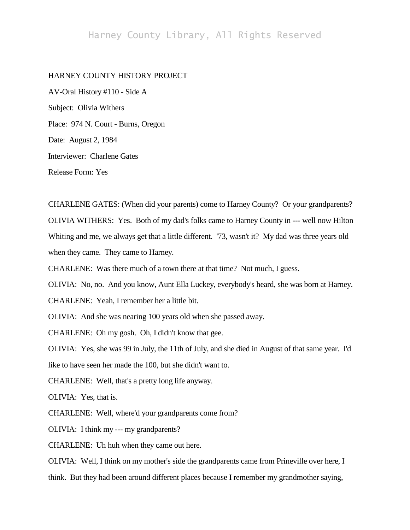## Harney County Library, All Rights Reserved

## HARNEY COUNTY HISTORY PROJECT

AV-Oral History #110 - Side A Subject: Olivia Withers Place: 974 N. Court - Burns, Oregon Date: August 2, 1984 Interviewer: Charlene Gates Release Form: Yes

CHARLENE GATES: (When did your parents) come to Harney County? Or your grandparents? OLIVIA WITHERS: Yes. Both of my dad's folks came to Harney County in --- well now Hilton Whiting and me, we always get that a little different. '73, wasn't it? My dad was three years old when they came. They came to Harney.

CHARLENE: Was there much of a town there at that time? Not much, I guess.

OLIVIA: No, no. And you know, Aunt Ella Luckey, everybody's heard, she was born at Harney.

CHARLENE: Yeah, I remember her a little bit.

OLIVIA: And she was nearing 100 years old when she passed away.

CHARLENE: Oh my gosh. Oh, I didn't know that gee.

OLIVIA: Yes, she was 99 in July, the 11th of July, and she died in August of that same year. I'd

like to have seen her made the 100, but she didn't want to.

CHARLENE: Well, that's a pretty long life anyway.

OLIVIA: Yes, that is.

CHARLENE: Well, where'd your grandparents come from?

OLIVIA: I think my --- my grandparents?

CHARLENE: Uh huh when they came out here.

OLIVIA: Well, I think on my mother's side the grandparents came from Prineville over here, I think. But they had been around different places because I remember my grandmother saying,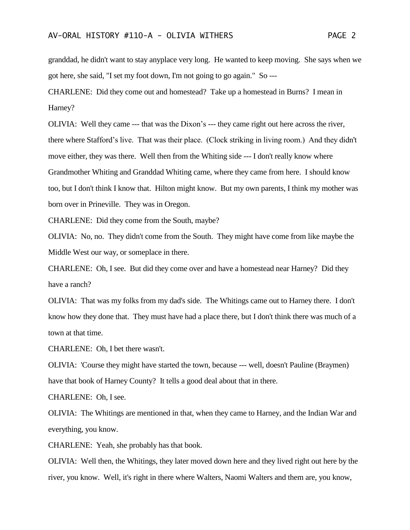granddad, he didn't want to stay anyplace very long. He wanted to keep moving. She says when we got here, she said, "I set my foot down, I'm not going to go again." So ---

CHARLENE: Did they come out and homestead? Take up a homestead in Burns? I mean in Harney?

OLIVIA: Well they came --- that was the Dixon's --- they came right out here across the river, there where Stafford's live. That was their place. (Clock striking in living room.) And they didn't move either, they was there. Well then from the Whiting side --- I don't really know where Grandmother Whiting and Granddad Whiting came, where they came from here. I should know too, but I don't think I know that. Hilton might know. But my own parents, I think my mother was born over in Prineville. They was in Oregon.

CHARLENE: Did they come from the South, maybe?

OLIVIA: No, no. They didn't come from the South. They might have come from like maybe the Middle West our way, or someplace in there.

CHARLENE: Oh, I see. But did they come over and have a homestead near Harney? Did they have a ranch?

OLIVIA: That was my folks from my dad's side. The Whitings came out to Harney there. I don't know how they done that. They must have had a place there, but I don't think there was much of a town at that time.

CHARLENE: Oh, I bet there wasn't.

OLIVIA: 'Course they might have started the town, because --- well, doesn't Pauline (Braymen) have that book of Harney County? It tells a good deal about that in there.

CHARLENE: Oh, I see.

OLIVIA: The Whitings are mentioned in that, when they came to Harney, and the Indian War and everything, you know.

CHARLENE: Yeah, she probably has that book.

OLIVIA: Well then, the Whitings, they later moved down here and they lived right out here by the river, you know. Well, it's right in there where Walters, Naomi Walters and them are, you know,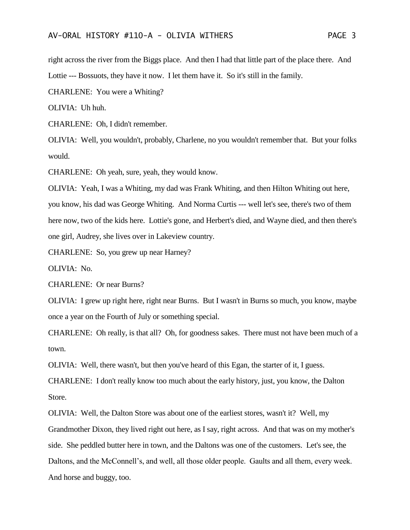right across the river from the Biggs place. And then I had that little part of the place there. And Lottie --- Bossuots, they have it now. I let them have it. So it's still in the family.

CHARLENE: You were a Whiting?

OLIVIA: Uh huh.

CHARLENE: Oh, I didn't remember.

OLIVIA: Well, you wouldn't, probably, Charlene, no you wouldn't remember that. But your folks would.

CHARLENE: Oh yeah, sure, yeah, they would know.

OLIVIA: Yeah, I was a Whiting, my dad was Frank Whiting, and then Hilton Whiting out here, you know, his dad was George Whiting. And Norma Curtis --- well let's see, there's two of them here now, two of the kids here. Lottie's gone, and Herbert's died, and Wayne died, and then there's one girl, Audrey, she lives over in Lakeview country.

CHARLENE: So, you grew up near Harney?

OLIVIA: No.

CHARLENE: Or near Burns?

OLIVIA: I grew up right here, right near Burns. But I wasn't in Burns so much, you know, maybe once a year on the Fourth of July or something special.

CHARLENE: Oh really, is that all? Oh, for goodness sakes. There must not have been much of a town.

OLIVIA: Well, there wasn't, but then you've heard of this Egan, the starter of it, I guess.

CHARLENE: I don't really know too much about the early history, just, you know, the Dalton Store.

OLIVIA: Well, the Dalton Store was about one of the earliest stores, wasn't it? Well, my Grandmother Dixon, they lived right out here, as I say, right across. And that was on my mother's side. She peddled butter here in town, and the Daltons was one of the customers. Let's see, the Daltons, and the McConnell's, and well, all those older people. Gaults and all them, every week. And horse and buggy, too.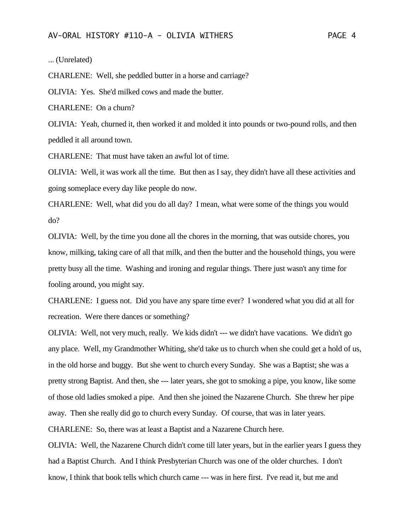... (Unrelated)

CHARLENE: Well, she peddled butter in a horse and carriage?

OLIVIA: Yes. She'd milked cows and made the butter.

CHARLENE: On a churn?

OLIVIA: Yeah, churned it, then worked it and molded it into pounds or two-pound rolls, and then peddled it all around town.

CHARLENE: That must have taken an awful lot of time.

OLIVIA: Well, it was work all the time. But then as I say, they didn't have all these activities and going someplace every day like people do now.

CHARLENE: Well, what did you do all day? I mean, what were some of the things you would do?

OLIVIA: Well, by the time you done all the chores in the morning, that was outside chores, you know, milking, taking care of all that milk, and then the butter and the household things, you were pretty busy all the time. Washing and ironing and regular things. There just wasn't any time for fooling around, you might say.

CHARLENE: I guess not. Did you have any spare time ever? I wondered what you did at all for recreation. Were there dances or something?

OLIVIA: Well, not very much, really. We kids didn't --- we didn't have vacations. We didn't go any place. Well, my Grandmother Whiting, she'd take us to church when she could get a hold of us, in the old horse and buggy. But she went to church every Sunday. She was a Baptist; she was a pretty strong Baptist. And then, she --- later years, she got to smoking a pipe, you know, like some of those old ladies smoked a pipe. And then she joined the Nazarene Church. She threw her pipe away. Then she really did go to church every Sunday. Of course, that was in later years. CHARLENE: So, there was at least a Baptist and a Nazarene Church here.

OLIVIA: Well, the Nazarene Church didn't come till later years, but in the earlier years I guess they had a Baptist Church. And I think Presbyterian Church was one of the older churches. I don't know, I think that book tells which church came --- was in here first. I've read it, but me and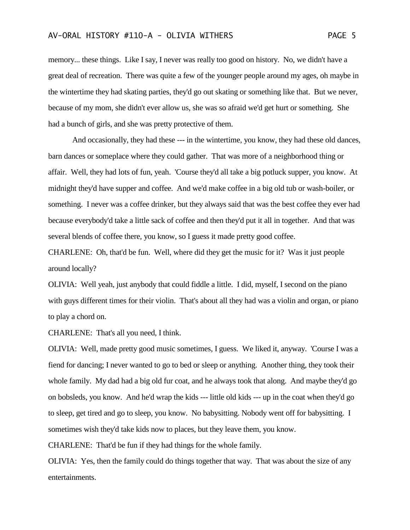memory... these things. Like I say, I never was really too good on history. No, we didn't have a great deal of recreation. There was quite a few of the younger people around my ages, oh maybe in the wintertime they had skating parties, they'd go out skating or something like that. But we never, because of my mom, she didn't ever allow us, she was so afraid we'd get hurt or something. She had a bunch of girls, and she was pretty protective of them.

And occasionally, they had these --- in the wintertime, you know, they had these old dances, barn dances or someplace where they could gather. That was more of a neighborhood thing or affair. Well, they had lots of fun, yeah. 'Course they'd all take a big potluck supper, you know. At midnight they'd have supper and coffee. And we'd make coffee in a big old tub or wash-boiler, or something. I never was a coffee drinker, but they always said that was the best coffee they ever had because everybody'd take a little sack of coffee and then they'd put it all in together. And that was several blends of coffee there, you know, so I guess it made pretty good coffee.

CHARLENE: Oh, that'd be fun. Well, where did they get the music for it? Was it just people around locally?

OLIVIA: Well yeah, just anybody that could fiddle a little. I did, myself, I second on the piano with guys different times for their violin. That's about all they had was a violin and organ, or piano to play a chord on.

CHARLENE: That's all you need, I think.

OLIVIA: Well, made pretty good music sometimes, I guess. We liked it, anyway. 'Course I was a fiend for dancing; I never wanted to go to bed or sleep or anything. Another thing, they took their whole family. My dad had a big old fur coat, and he always took that along. And maybe they'd go on bobsleds, you know. And he'd wrap the kids --- little old kids --- up in the coat when they'd go to sleep, get tired and go to sleep, you know. No babysitting. Nobody went off for babysitting. I sometimes wish they'd take kids now to places, but they leave them, you know.

CHARLENE: That'd be fun if they had things for the whole family.

OLIVIA: Yes, then the family could do things together that way. That was about the size of any entertainments.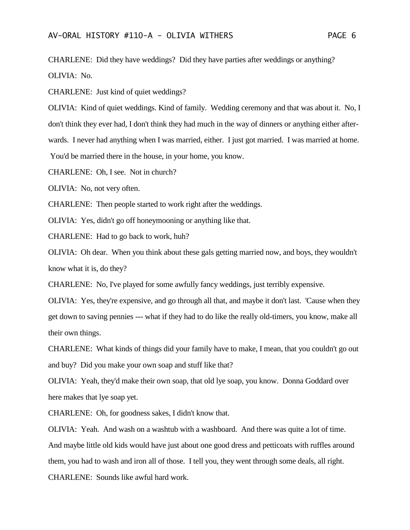CHARLENE: Did they have weddings? Did they have parties after weddings or anything? OLIVIA: No.

CHARLENE: Just kind of quiet weddings?

OLIVIA: Kind of quiet weddings. Kind of family. Wedding ceremony and that was about it. No, I don't think they ever had, I don't think they had much in the way of dinners or anything either afterwards. I never had anything when I was married, either. I just got married. I was married at home. You'd be married there in the house, in your home, you know.

CHARLENE: Oh, I see. Not in church?

OLIVIA: No, not very often.

CHARLENE: Then people started to work right after the weddings.

OLIVIA: Yes, didn't go off honeymooning or anything like that.

CHARLENE: Had to go back to work, huh?

OLIVIA: Oh dear. When you think about these gals getting married now, and boys, they wouldn't know what it is, do they?

CHARLENE: No, I've played for some awfully fancy weddings, just terribly expensive.

OLIVIA: Yes, they're expensive, and go through all that, and maybe it don't last. 'Cause when they get down to saving pennies --- what if they had to do like the really old-timers, you know, make all their own things.

CHARLENE: What kinds of things did your family have to make, I mean, that you couldn't go out and buy? Did you make your own soap and stuff like that?

OLIVIA: Yeah, they'd make their own soap, that old lye soap, you know. Donna Goddard over here makes that lye soap yet.

CHARLENE: Oh, for goodness sakes, I didn't know that.

OLIVIA: Yeah. And wash on a washtub with a washboard. And there was quite a lot of time. And maybe little old kids would have just about one good dress and petticoats with ruffles around them, you had to wash and iron all of those. I tell you, they went through some deals, all right. CHARLENE: Sounds like awful hard work.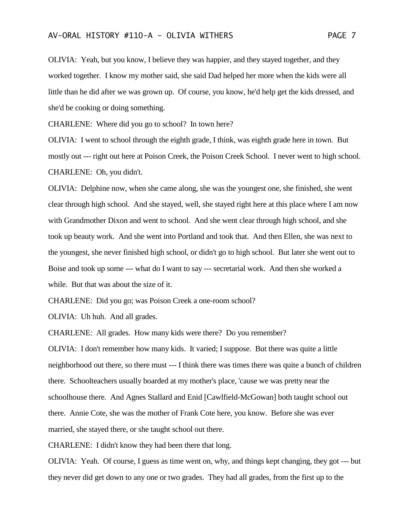## AV-ORAL HISTORY #110-A - OLIVIA WITHERS PAGE 7

OLIVIA: Yeah, but you know, I believe they was happier, and they stayed together, and they worked together. I know my mother said, she said Dad helped her more when the kids were all little than he did after we was grown up. Of course, you know, he'd help get the kids dressed, and she'd be cooking or doing something.

CHARLENE: Where did you go to school? In town here?

OLIVIA: I went to school through the eighth grade, I think, was eighth grade here in town. But mostly out --- right out here at Poison Creek, the Poison Creek School. I never went to high school. CHARLENE: Oh, you didn't.

OLIVIA: Delphine now, when she came along, she was the youngest one, she finished, she went clear through high school. And she stayed, well, she stayed right here at this place where I am now with Grandmother Dixon and went to school. And she went clear through high school, and she took up beauty work. And she went into Portland and took that. And then Ellen, she was next to the youngest, she never finished high school, or didn't go to high school. But later she went out to Boise and took up some --- what do I want to say --- secretarial work. And then she worked a while. But that was about the size of it.

CHARLENE: Did you go; was Poison Creek a one-room school?

OLIVIA: Uh huh. And all grades.

CHARLENE: All grades. How many kids were there? Do you remember?

OLIVIA: I don't remember how many kids. It varied; I suppose. But there was quite a little neighborhood out there, so there must --- I think there was times there was quite a bunch of children there. Schoolteachers usually boarded at my mother's place, 'cause we was pretty near the schoolhouse there. And Agnes Stallard and Enid [Cawlfield-McGowan] both taught school out there. Annie Cote, she was the mother of Frank Cote here, you know. Before she was ever married, she stayed there, or she taught school out there.

CHARLENE: I didn't know they had been there that long.

OLIVIA: Yeah. Of course, I guess as time went on, why, and things kept changing, they got --- but they never did get down to any one or two grades. They had all grades, from the first up to the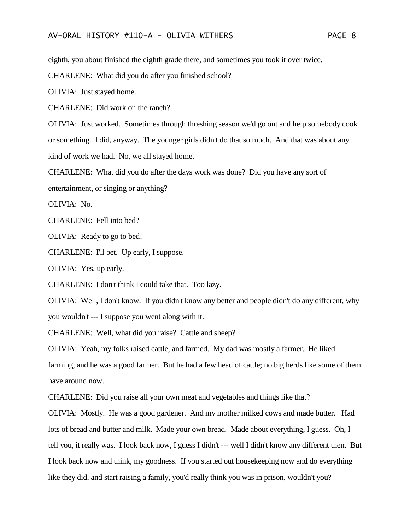eighth, you about finished the eighth grade there, and sometimes you took it over twice.

CHARLENE: What did you do after you finished school?

OLIVIA: Just stayed home.

CHARLENE: Did work on the ranch?

OLIVIA: Just worked. Sometimes through threshing season we'd go out and help somebody cook or something. I did, anyway. The younger girls didn't do that so much. And that was about any kind of work we had. No, we all stayed home.

CHARLENE: What did you do after the days work was done? Did you have any sort of

entertainment, or singing or anything?

OLIVIA: No.

CHARLENE: Fell into bed?

OLIVIA: Ready to go to bed!

CHARLENE: I'll bet. Up early, I suppose.

OLIVIA: Yes, up early.

CHARLENE: I don't think I could take that. Too lazy.

OLIVIA: Well, I don't know. If you didn't know any better and people didn't do any different, why you wouldn't --- I suppose you went along with it.

CHARLENE: Well, what did you raise? Cattle and sheep?

OLIVIA: Yeah, my folks raised cattle, and farmed. My dad was mostly a farmer. He liked farming, and he was a good farmer. But he had a few head of cattle; no big herds like some of them have around now.

CHARLENE: Did you raise all your own meat and vegetables and things like that?

OLIVIA: Mostly. He was a good gardener. And my mother milked cows and made butter. Had lots of bread and butter and milk. Made your own bread. Made about everything, I guess. Oh, I tell you, it really was. I look back now, I guess I didn't --- well I didn't know any different then. But I look back now and think, my goodness. If you started out housekeeping now and do everything like they did, and start raising a family, you'd really think you was in prison, wouldn't you?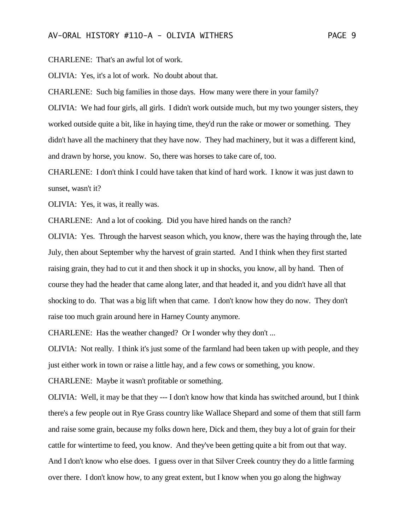CHARLENE: That's an awful lot of work.

OLIVIA: Yes, it's a lot of work. No doubt about that.

CHARLENE: Such big families in those days. How many were there in your family? OLIVIA: We had four girls, all girls. I didn't work outside much, but my two younger sisters, they worked outside quite a bit, like in haying time, they'd run the rake or mower or something. They didn't have all the machinery that they have now. They had machinery, but it was a different kind, and drawn by horse, you know. So, there was horses to take care of, too.

CHARLENE: I don't think I could have taken that kind of hard work. I know it was just dawn to sunset, wasn't it?

OLIVIA: Yes, it was, it really was.

CHARLENE: And a lot of cooking. Did you have hired hands on the ranch?

OLIVIA: Yes. Through the harvest season which, you know, there was the haying through the, late July, then about September why the harvest of grain started. And I think when they first started raising grain, they had to cut it and then shock it up in shocks, you know, all by hand. Then of course they had the header that came along later, and that headed it, and you didn't have all that shocking to do. That was a big lift when that came. I don't know how they do now. They don't raise too much grain around here in Harney County anymore.

CHARLENE: Has the weather changed? Or I wonder why they don't ...

OLIVIA: Not really. I think it's just some of the farmland had been taken up with people, and they just either work in town or raise a little hay, and a few cows or something, you know.

CHARLENE: Maybe it wasn't profitable or something.

OLIVIA: Well, it may be that they --- I don't know how that kinda has switched around, but I think there's a few people out in Rye Grass country like Wallace Shepard and some of them that still farm and raise some grain, because my folks down here, Dick and them, they buy a lot of grain for their cattle for wintertime to feed, you know. And they've been getting quite a bit from out that way. And I don't know who else does. I guess over in that Silver Creek country they do a little farming over there. I don't know how, to any great extent, but I know when you go along the highway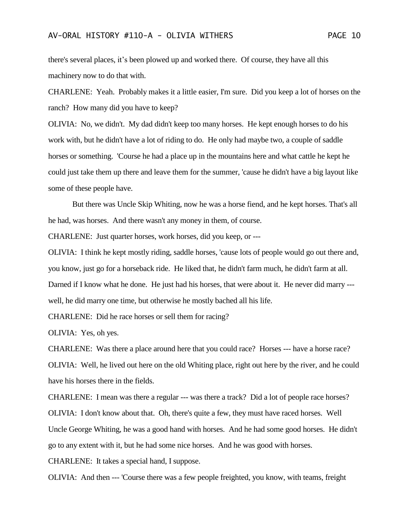there's several places, it's been plowed up and worked there. Of course, they have all this machinery now to do that with.

CHARLENE: Yeah. Probably makes it a little easier, I'm sure. Did you keep a lot of horses on the ranch? How many did you have to keep?

OLIVIA: No, we didn't. My dad didn't keep too many horses. He kept enough horses to do his work with, but he didn't have a lot of riding to do. He only had maybe two, a couple of saddle horses or something. 'Course he had a place up in the mountains here and what cattle he kept he could just take them up there and leave them for the summer, 'cause he didn't have a big layout like some of these people have.

But there was Uncle Skip Whiting, now he was a horse fiend, and he kept horses. That's all he had, was horses. And there wasn't any money in them, of course.

CHARLENE: Just quarter horses, work horses, did you keep, or ---

OLIVIA: I think he kept mostly riding, saddle horses, 'cause lots of people would go out there and, you know, just go for a horseback ride. He liked that, he didn't farm much, he didn't farm at all. Darned if I know what he done. He just had his horses, that were about it. He never did marry -- well, he did marry one time, but otherwise he mostly bached all his life.

CHARLENE: Did he race horses or sell them for racing?

OLIVIA: Yes, oh yes.

CHARLENE: Was there a place around here that you could race? Horses --- have a horse race? OLIVIA: Well, he lived out here on the old Whiting place, right out here by the river, and he could have his horses there in the fields.

CHARLENE: I mean was there a regular --- was there a track? Did a lot of people race horses? OLIVIA: I don't know about that. Oh, there's quite a few, they must have raced horses. Well Uncle George Whiting, he was a good hand with horses. And he had some good horses. He didn't go to any extent with it, but he had some nice horses. And he was good with horses.

CHARLENE: It takes a special hand, I suppose.

OLIVIA: And then --- 'Course there was a few people freighted, you know, with teams, freight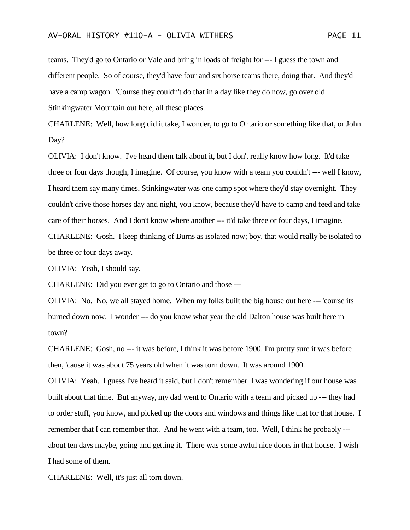teams. They'd go to Ontario or Vale and bring in loads of freight for --- I guess the town and different people. So of course, they'd have four and six horse teams there, doing that. And they'd have a camp wagon. 'Course they couldn't do that in a day like they do now, go over old Stinkingwater Mountain out here, all these places.

CHARLENE: Well, how long did it take, I wonder, to go to Ontario or something like that, or John Day?

OLIVIA: I don't know. I've heard them talk about it, but I don't really know how long. It'd take three or four days though, I imagine. Of course, you know with a team you couldn't --- well I know, I heard them say many times, Stinkingwater was one camp spot where they'd stay overnight. They couldn't drive those horses day and night, you know, because they'd have to camp and feed and take care of their horses. And I don't know where another --- it'd take three or four days, I imagine. CHARLENE: Gosh. I keep thinking of Burns as isolated now; boy, that would really be isolated to be three or four days away.

OLIVIA: Yeah, I should say.

CHARLENE: Did you ever get to go to Ontario and those ---

OLIVIA: No. No, we all stayed home. When my folks built the big house out here --- 'course its burned down now. I wonder --- do you know what year the old Dalton house was built here in town?

CHARLENE: Gosh, no --- it was before, I think it was before 1900. I'm pretty sure it was before then, 'cause it was about 75 years old when it was torn down. It was around 1900.

OLIVIA: Yeah. I guess I've heard it said, but I don't remember. I was wondering if our house was built about that time. But anyway, my dad went to Ontario with a team and picked up --- they had to order stuff, you know, and picked up the doors and windows and things like that for that house. I remember that I can remember that. And he went with a team, too. Well, I think he probably -- about ten days maybe, going and getting it. There was some awful nice doors in that house. I wish I had some of them.

CHARLENE: Well, it's just all torn down.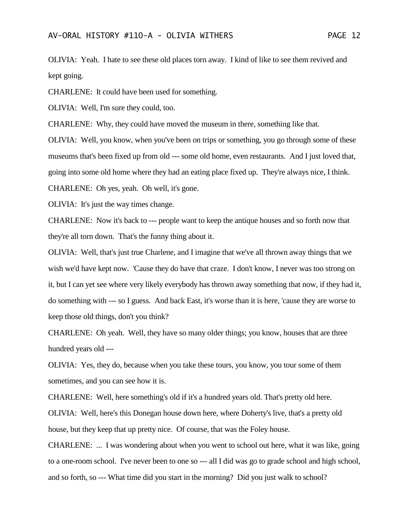OLIVIA: Yeah. I hate to see these old places torn away. I kind of like to see them revived and kept going.

CHARLENE: It could have been used for something.

OLIVIA: Well, I'm sure they could, too.

CHARLENE: Why, they could have moved the museum in there, something like that.

OLIVIA: Well, you know, when you've been on trips or something, you go through some of these museums that's been fixed up from old --- some old home, even restaurants. And I just loved that, going into some old home where they had an eating place fixed up. They're always nice, I think. CHARLENE: Oh yes, yeah. Oh well, it's gone.

OLIVIA: It's just the way times change.

CHARLENE: Now it's back to --- people want to keep the antique houses and so forth now that they're all torn down. That's the funny thing about it.

OLIVIA: Well, that's just true Charlene, and I imagine that we've all thrown away things that we wish we'd have kept now. 'Cause they do have that craze. I don't know, I never was too strong on it, but I can yet see where very likely everybody has thrown away something that now, if they had it, do something with --- so I guess. And back East, it's worse than it is here, 'cause they are worse to keep those old things, don't you think?

CHARLENE: Oh yeah. Well, they have so many older things; you know, houses that are three hundred years old ---

OLIVIA: Yes, they do, because when you take these tours, you know, you tour some of them sometimes, and you can see how it is.

CHARLENE: Well, here something's old if it's a hundred years old. That's pretty old here. OLIVIA: Well, here's this Donegan house down here, where Doherty's live, that's a pretty old house, but they keep that up pretty nice. Of course, that was the Foley house.

CHARLENE: ... I was wondering about when you went to school out here, what it was like, going to a one-room school. I've never been to one so --- all I did was go to grade school and high school, and so forth, so --- What time did you start in the morning? Did you just walk to school?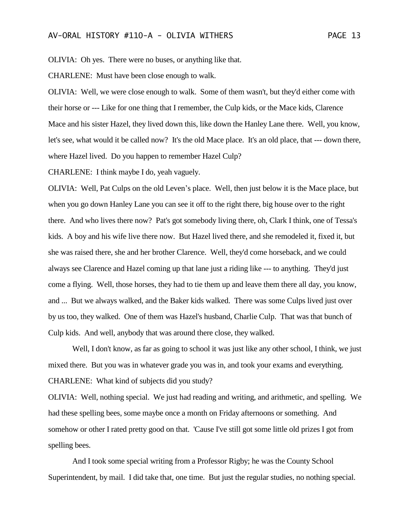OLIVIA: Oh yes. There were no buses, or anything like that.

CHARLENE: Must have been close enough to walk.

OLIVIA: Well, we were close enough to walk. Some of them wasn't, but they'd either come with their horse or --- Like for one thing that I remember, the Culp kids, or the Mace kids, Clarence Mace and his sister Hazel, they lived down this, like down the Hanley Lane there. Well, you know, let's see, what would it be called now? It's the old Mace place. It's an old place, that --- down there, where Hazel lived. Do you happen to remember Hazel Culp?

CHARLENE: I think maybe I do, yeah vaguely.

OLIVIA: Well, Pat Culps on the old Leven's place. Well, then just below it is the Mace place, but when you go down Hanley Lane you can see it off to the right there, big house over to the right there. And who lives there now? Pat's got somebody living there, oh, Clark I think, one of Tessa's kids. A boy and his wife live there now. But Hazel lived there, and she remodeled it, fixed it, but she was raised there, she and her brother Clarence. Well, they'd come horseback, and we could always see Clarence and Hazel coming up that lane just a riding like --- to anything. They'd just come a flying. Well, those horses, they had to tie them up and leave them there all day, you know, and ... But we always walked, and the Baker kids walked. There was some Culps lived just over by us too, they walked. One of them was Hazel's husband, Charlie Culp. That was that bunch of Culp kids. And well, anybody that was around there close, they walked.

Well, I don't know, as far as going to school it was just like any other school, I think, we just mixed there. But you was in whatever grade you was in, and took your exams and everything. CHARLENE: What kind of subjects did you study?

OLIVIA: Well, nothing special. We just had reading and writing, and arithmetic, and spelling. We had these spelling bees, some maybe once a month on Friday afternoons or something. And somehow or other I rated pretty good on that. 'Cause I've still got some little old prizes I got from spelling bees.

And I took some special writing from a Professor Rigby; he was the County School Superintendent, by mail. I did take that, one time. But just the regular studies, no nothing special.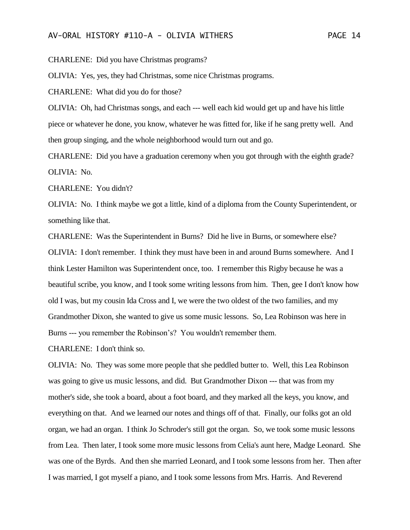CHARLENE: Did you have Christmas programs?

OLIVIA: Yes, yes, they had Christmas, some nice Christmas programs.

CHARLENE: What did you do for those?

OLIVIA: Oh, had Christmas songs, and each --- well each kid would get up and have his little piece or whatever he done, you know, whatever he was fitted for, like if he sang pretty well. And then group singing, and the whole neighborhood would turn out and go.

CHARLENE: Did you have a graduation ceremony when you got through with the eighth grade? OLIVIA: No.

CHARLENE: You didn't?

OLIVIA: No. I think maybe we got a little, kind of a diploma from the County Superintendent, or something like that.

CHARLENE: Was the Superintendent in Burns? Did he live in Burns, or somewhere else? OLIVIA: I don't remember. I think they must have been in and around Burns somewhere. And I think Lester Hamilton was Superintendent once, too. I remember this Rigby because he was a beautiful scribe, you know, and I took some writing lessons from him. Then, gee I don't know how old I was, but my cousin Ida Cross and I, we were the two oldest of the two families, and my Grandmother Dixon, she wanted to give us some music lessons. So, Lea Robinson was here in Burns --- you remember the Robinson's? You wouldn't remember them.

CHARLENE: I don't think so.

OLIVIA: No. They was some more people that she peddled butter to. Well, this Lea Robinson was going to give us music lessons, and did. But Grandmother Dixon --- that was from my mother's side, she took a board, about a foot board, and they marked all the keys, you know, and everything on that. And we learned our notes and things off of that. Finally, our folks got an old organ, we had an organ. I think Jo Schroder's still got the organ. So, we took some music lessons from Lea. Then later, I took some more music lessons from Celia's aunt here, Madge Leonard. She was one of the Byrds. And then she married Leonard, and I took some lessons from her. Then after I was married, I got myself a piano, and I took some lessons from Mrs. Harris. And Reverend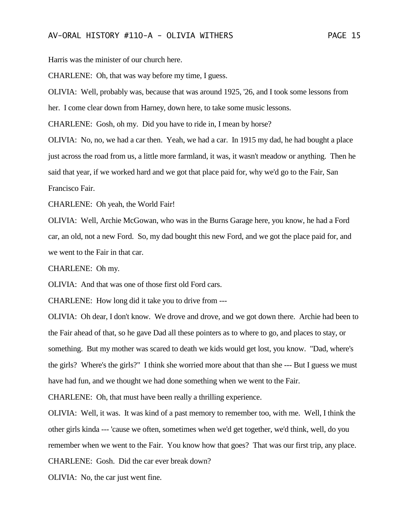Harris was the minister of our church here.

CHARLENE: Oh, that was way before my time, I guess.

OLIVIA: Well, probably was, because that was around 1925, '26, and I took some lessons from her. I come clear down from Harney, down here, to take some music lessons.

CHARLENE: Gosh, oh my. Did you have to ride in, I mean by horse?

OLIVIA: No, no, we had a car then. Yeah, we had a car. In 1915 my dad, he had bought a place just across the road from us, a little more farmland, it was, it wasn't meadow or anything. Then he said that year, if we worked hard and we got that place paid for, why we'd go to the Fair, San Francisco Fair.

CHARLENE: Oh yeah, the World Fair!

OLIVIA: Well, Archie McGowan, who was in the Burns Garage here, you know, he had a Ford car, an old, not a new Ford. So, my dad bought this new Ford, and we got the place paid for, and we went to the Fair in that car.

CHARLENE: Oh my.

OLIVIA: And that was one of those first old Ford cars.

CHARLENE: How long did it take you to drive from ---

OLIVIA: Oh dear, I don't know. We drove and drove, and we got down there. Archie had been to the Fair ahead of that, so he gave Dad all these pointers as to where to go, and places to stay, or something. But my mother was scared to death we kids would get lost, you know. "Dad, where's the girls? Where's the girls?" I think she worried more about that than she --- But I guess we must have had fun, and we thought we had done something when we went to the Fair.

CHARLENE: Oh, that must have been really a thrilling experience.

OLIVIA: Well, it was. It was kind of a past memory to remember too, with me. Well, I think the other girls kinda --- 'cause we often, sometimes when we'd get together, we'd think, well, do you remember when we went to the Fair. You know how that goes? That was our first trip, any place. CHARLENE: Gosh. Did the car ever break down?

OLIVIA: No, the car just went fine.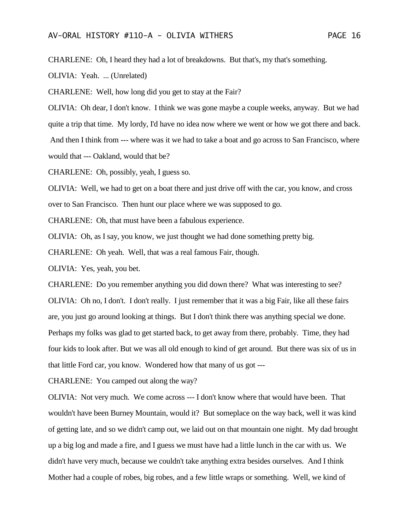CHARLENE: Oh, I heard they had a lot of breakdowns. But that's, my that's something.

OLIVIA: Yeah. ... (Unrelated)

CHARLENE: Well, how long did you get to stay at the Fair?

OLIVIA: Oh dear, I don't know. I think we was gone maybe a couple weeks, anyway. But we had quite a trip that time. My lordy, I'd have no idea now where we went or how we got there and back. And then I think from --- where was it we had to take a boat and go across to San Francisco, where would that --- Oakland, would that be?

CHARLENE: Oh, possibly, yeah, I guess so.

OLIVIA: Well, we had to get on a boat there and just drive off with the car, you know, and cross over to San Francisco. Then hunt our place where we was supposed to go.

CHARLENE: Oh, that must have been a fabulous experience.

OLIVIA: Oh, as I say, you know, we just thought we had done something pretty big.

CHARLENE: Oh yeah. Well, that was a real famous Fair, though.

OLIVIA: Yes, yeah, you bet.

CHARLENE: Do you remember anything you did down there? What was interesting to see? OLIVIA: Oh no, I don't. I don't really. I just remember that it was a big Fair, like all these fairs are, you just go around looking at things. But I don't think there was anything special we done. Perhaps my folks was glad to get started back, to get away from there, probably. Time, they had four kids to look after. But we was all old enough to kind of get around. But there was six of us in that little Ford car, you know. Wondered how that many of us got ---

CHARLENE: You camped out along the way?

OLIVIA: Not very much. We come across --- I don't know where that would have been. That wouldn't have been Burney Mountain, would it? But someplace on the way back, well it was kind of getting late, and so we didn't camp out, we laid out on that mountain one night. My dad brought up a big log and made a fire, and I guess we must have had a little lunch in the car with us. We didn't have very much, because we couldn't take anything extra besides ourselves. And I think Mother had a couple of robes, big robes, and a few little wraps or something. Well, we kind of